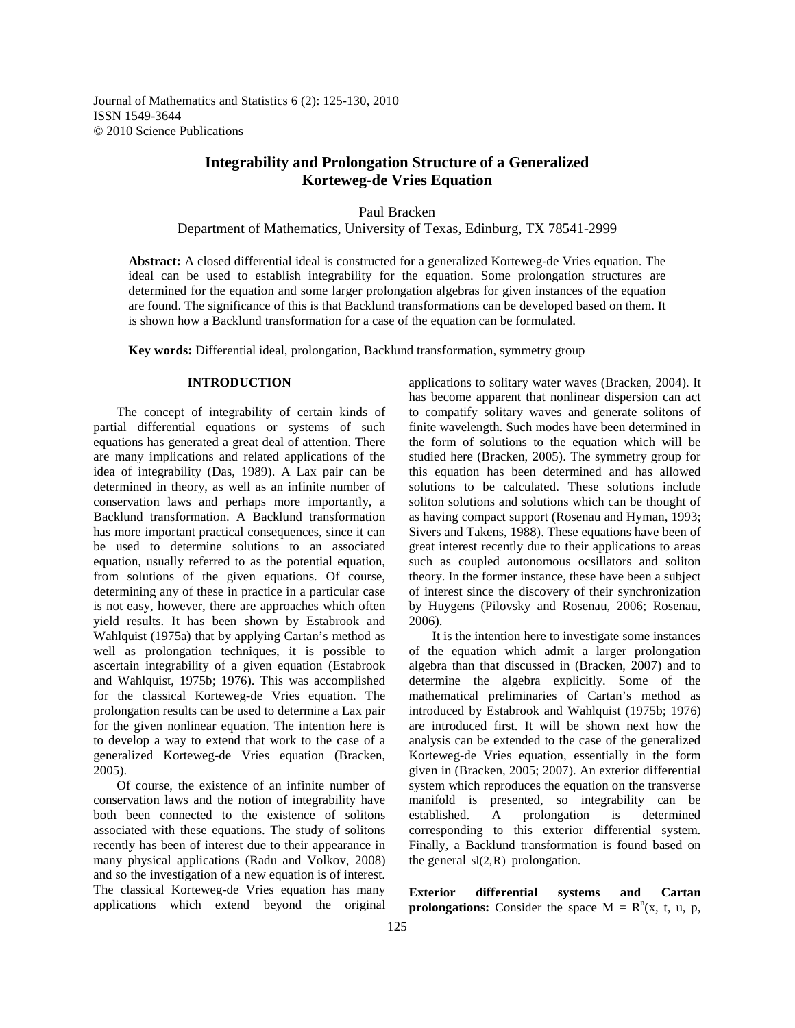Journal of Mathematics and Statistics 6 (2): 125-130, 2010 ISSN 1549-3644 © 2010 Science Publications

## **Integrability and Prolongation Structure of a Generalized Korteweg-de Vries Equation**

Paul Bracken Department of Mathematics, University of Texas, Edinburg, TX 78541-2999

**Abstract:** A closed differential ideal is constructed for a generalized Korteweg-de Vries equation. The ideal can be used to establish integrability for the equation. Some prolongation structures are determined for the equation and some larger prolongation algebras for given instances of the equation are found. The significance of this is that Backlund transformations can be developed based on them. It is shown how a Backlund transformation for a case of the equation can be formulated.

**Key words:** Differential ideal, prolongation, Backlund transformation, symmetry group

## **INTRODUCTION**

 The concept of integrability of certain kinds of partial differential equations or systems of such equations has generated a great deal of attention. There are many implications and related applications of the idea of integrability (Das, 1989). A Lax pair can be determined in theory, as well as an infinite number of conservation laws and perhaps more importantly, a Backlund transformation. A Backlund transformation has more important practical consequences, since it can be used to determine solutions to an associated equation, usually referred to as the potential equation, from solutions of the given equations. Of course, determining any of these in practice in a particular case is not easy, however, there are approaches which often yield results. It has been shown by Estabrook and Wahlquist (1975a) that by applying Cartan's method as well as prolongation techniques, it is possible to ascertain integrability of a given equation (Estabrook and Wahlquist, 1975b; 1976). This was accomplished for the classical Korteweg-de Vries equation. The prolongation results can be used to determine a Lax pair for the given nonlinear equation. The intention here is to develop a way to extend that work to the case of a generalized Korteweg-de Vries equation (Bracken, 2005).

 Of course, the existence of an infinite number of conservation laws and the notion of integrability have both been connected to the existence of solitons associated with these equations. The study of solitons recently has been of interest due to their appearance in many physical applications (Radu and Volkov, 2008) and so the investigation of a new equation is of interest. The classical Korteweg-de Vries equation has many applications which extend beyond the original

applications to solitary water waves (Bracken, 2004). It has become apparent that nonlinear dispersion can act to compatify solitary waves and generate solitons of finite wavelength. Such modes have been determined in the form of solutions to the equation which will be studied here (Bracken, 2005). The symmetry group for this equation has been determined and has allowed solutions to be calculated. These solutions include soliton solutions and solutions which can be thought of as having compact support (Rosenau and Hyman, 1993; Sivers and Takens, 1988). These equations have been of great interest recently due to their applications to areas such as coupled autonomous ocsillators and soliton theory. In the former instance, these have been a subject of interest since the discovery of their synchronization by Huygens (Pilovsky and Rosenau, 2006; Rosenau, 2006).

 It is the intention here to investigate some instances of the equation which admit a larger prolongation algebra than that discussed in (Bracken, 2007) and to determine the algebra explicitly. Some of the mathematical preliminaries of Cartan's method as introduced by Estabrook and Wahlquist (1975b; 1976) are introduced first. It will be shown next how the analysis can be extended to the case of the generalized Korteweg-de Vries equation, essentially in the form given in (Bracken, 2005; 2007). An exterior differential system which reproduces the equation on the transverse manifold is presented, so integrability can be established. A prolongation is determined corresponding to this exterior differential system. Finally, a Backlund transformation is found based on the general  $sl(2,R)$  prolongation.

**Exterior differential systems and Cartan prolongations:** Consider the space  $M = R^n(x, t, u, p, z)$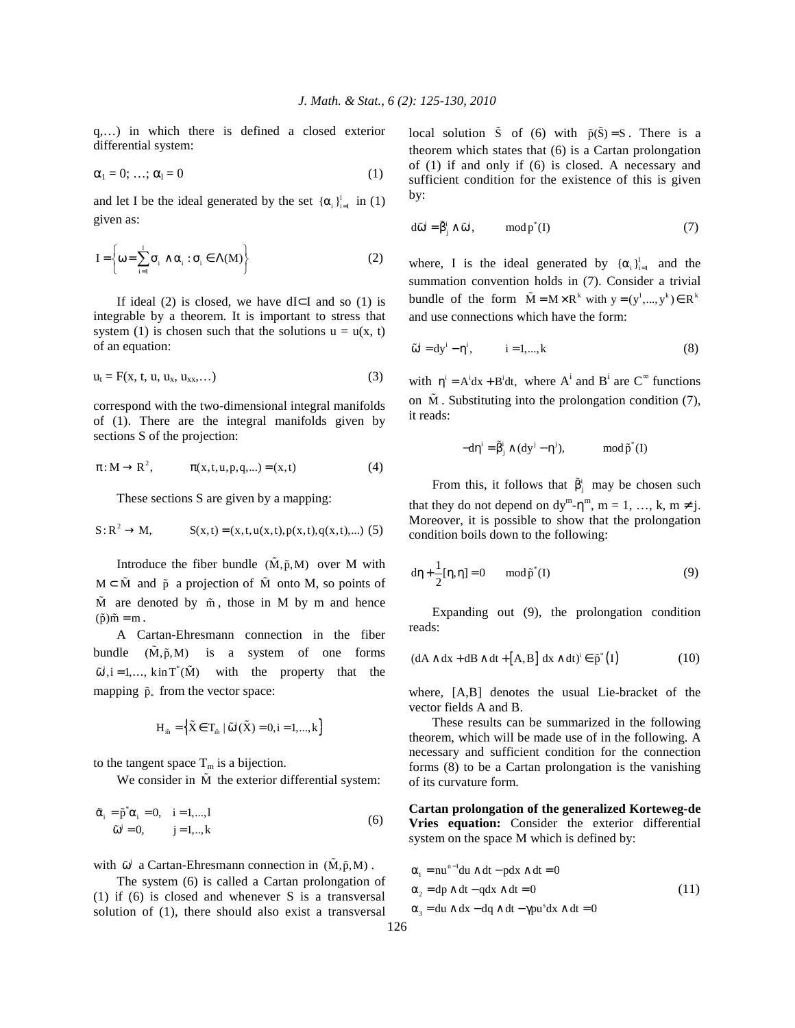q,…) in which there is defined a closed exterior differential system:

$$
\alpha_1 = 0; \ldots; \alpha_l = 0 \tag{1}
$$

and let I be the ideal generated by the set  $\{\alpha_i\}_{i=1}^l$  in (1) given as:

$$
I = \left\{ \omega = \sum_{i=1}^{1} \sigma_i \wedge \alpha_i : \sigma_i \in \Lambda(M) \right\}
$$
 (2)

If ideal (2) is closed, we have dI⊂I and so (1) is integrable by a theorem. It is important to stress that system (1) is chosen such that the solutions  $u = u(x, t)$ of an equation:

$$
\mathbf{u}_{t} = \mathbf{F}(\mathbf{x}, \mathbf{t}, \mathbf{u}, \mathbf{u}_{\mathbf{x}}, \mathbf{u}_{\mathbf{x}\mathbf{x}}, \ldots) \tag{3}
$$

correspond with the two-dimensional integral manifolds of (1). There are the integral manifolds given by sections S of the projection:

$$
\pi: M \to R^2, \qquad \pi(x, t, u, p, q, ...) = (x, t)
$$
 (4)

These sections S are given by a mapping:

$$
S: R^2 \to M
$$
,  $S(x,t) = (x,t,u(x,t),p(x,t),q(x,t),...)$  (5)

Introduce the fiber bundle  $(\tilde{M}, \tilde{p}, M)$  over M with  $M \subset \tilde{M}$  and  $\tilde{p}$  a projection of  $\tilde{M}$  onto M, so points of  $\tilde{M}$  are denoted by  $\tilde{m}$ , those in M by m and hence  $(\tilde{p})\tilde{m} = m$ .

 A Cartan-Ehresmann connection in the fiber bundle  $(\tilde{M}, \tilde{p}, M)$  is a system of one forms  $\tilde{\omega}^i$ , i = 1,..., kin T<sup>\*</sup>(M) with the property that the mapping  $\tilde{p}_*$  from the vector space:

$$
H_{\tilde{m}} = \left\{ \tilde{X} \in T_{\tilde{m}} \mid \tilde{\omega}^i(\tilde{X}) = 0, i = 1, ..., k \right\}
$$

to the tangent space  $T_m$  is a bijection.

We consider in  $\tilde{M}$  the exterior differential system:

$$
\tilde{\alpha}_i = \tilde{p}^* \alpha_i = 0, \quad i = 1,...,l
$$
  
\n
$$
\tilde{\omega}^j = 0, \qquad j = 1,...,k
$$
\n(6)

with  $\tilde{\omega}^j$  a Cartan-Ehresmann connection in  $(M,\tilde{p},M)$ .

 The system (6) is called a Cartan prolongation of (1) if (6) is closed and whenever S is a transversal solution of (1), there should also exist a transversal

local solution  $\tilde{S}$  of (6) with  $\tilde{p}(\tilde{S}) = S$ . There is a theorem which states that (6) is a Cartan prolongation of (1) if and only if (6) is closed. A necessary and sufficient condition for the existence of this is given by:

$$
d\tilde{\omega}^{i} = \tilde{\beta}_{i}^{i} \wedge \tilde{\omega}^{i}, \qquad \mod p^{*}(I) \tag{7}
$$

where, I is the ideal generated by  $\{\alpha_i\}_{i=1}^l$  and the summation convention holds in (7). Consider a trivial bundle of the form  $\tilde{M} = M \times R^k$  with  $y = (y^1, ..., y^k) \in R^k$ and use connections which have the form:

$$
\tilde{\omega}^i = dy^i - \eta^i, \qquad i = 1,...,k \tag{8}
$$

with  $\eta^i = A^i dx + B^i dt$ , where  $A^i$  and  $B^i$  are  $C^{\infty}$  functions on  $\tilde{M}$ . Substituting into the prolongation condition (7), it reads:

$$
-d\eta^i = \tilde{\beta}^i_j \wedge (dy^j - \eta^j), \qquad \mod{\tilde{p}}^*(I)
$$

From this, it follows that  $\tilde{\beta}_i^i$  may be chosen such that they do not depend on  $dy^m - \eta^m$ ,  $m = 1, ..., k, m \neq j$ . Moreover, it is possible to show that the prolongation condition boils down to the following:

$$
d\eta + \frac{1}{2}[\eta, \eta] = 0 \quad \text{mod } \tilde{p}^*(I) \tag{9}
$$

 Expanding out (9), the prolongation condition reads:

$$
(dA \wedge dx + dB \wedge dt + [A, B] dx \wedge dt)^{i} \in \tilde{p}^{*}(I)
$$
 (10)

where, [A,B] denotes the usual Lie-bracket of the vector fields A and B.

 These results can be summarized in the following theorem, which will be made use of in the following. A necessary and sufficient condition for the connection forms (8) to be a Cartan prolongation is the vanishing of its curvature form.

**Cartan prolongation of the generalized Korteweg-de Vries equation:** Consider the exterior differential system on the space M which is defined by:

$$
\alpha_1 = nu^{n-1}du \wedge dt - pdx \wedge dt = 0
$$
  
\n
$$
\alpha_2 = dp \wedge dt - qdx \wedge dt = 0
$$
  
\n
$$
\alpha_3 = du \wedge dx - dq \wedge dt - \gamma pu^s dx \wedge dt = 0
$$
\n(11)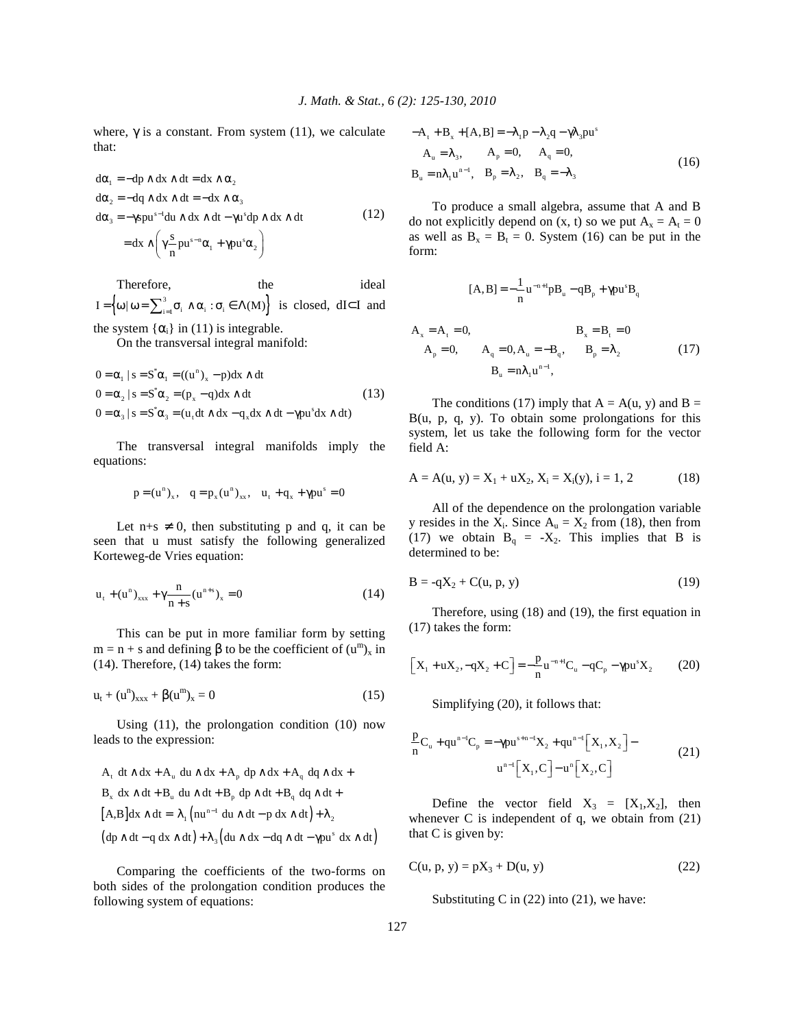where,  $\gamma$  is a constant. From system (11), we calculate that:

$$
d\alpha_1 = -dp \wedge dx \wedge dt = dx \wedge \alpha_2
$$
  
\n
$$
d\alpha_2 = -dq \wedge dx \wedge dt = -dx \wedge \alpha_3
$$
  
\n
$$
d\alpha_3 = -\gamma s p u^{s-1} du \wedge dx \wedge dt - \gamma u^s dp \wedge dx \wedge dt
$$
\n(12)  
\n
$$
= dx \wedge \left(\gamma \frac{s}{n} p u^{s-n} \alpha_1 + \gamma p u^s \alpha_2\right)
$$

Therefore, the the ideal  $\left\{\omega | \omega = \sum_{i=1}^3 \sigma_i \wedge \alpha_i : \sigma_i \in \Lambda(M)\right\}.$  $I = \left\{ \omega \mid \omega = \sum_{i=1}^{3} \sigma_i \wedge \alpha_i : \sigma_i \in \Lambda(M) \right\}$  is closed, dI⊂I and the system  $\{\alpha_i\}$  in (11) is integrable.

On the transversal integral manifold:

$$
0 = \alpha_1 | s = S^* \alpha_1 = ((u^n)_x - p) dx \wedge dt
$$
  
\n
$$
0 = \alpha_2 | s = S^* \alpha_2 = (p_x - q) dx \wedge dt
$$
  
\n
$$
0 = \alpha_3 | s = S^* \alpha_3 = (u_t dt \wedge dx - q_x dx \wedge dt - \gamma p u^s dx \wedge dt)
$$
\n(13)

 The transversal integral manifolds imply the equations:

$$
p = (u^n)_x
$$
,  $q = p_x (u^n)_{xx}$ ,  $u_t + q_x + \gamma pu^s = 0$ 

Let  $n+s \neq 0$ , then substituting p and q, it can be seen that u must satisfy the following generalized Korteweg-de Vries equation:

$$
u_{t} + (u^{n})_{xxx} + \gamma \frac{n}{n+s} (u^{n+s})_{x} = 0
$$
 (14)

 This can be put in more familiar form by setting  $m = n + s$  and defining  $\beta$  to be the coefficient of  $(u^m)_x$  in (14). Therefore, (14) takes the form:

$$
u_t + (u^n)_{xxx} + \beta (u^m)_x = 0 \tag{15}
$$

 Using (11), the prolongation condition (10) now leads to the expression:

$$
A_{t} dt \wedge dx + A_{u} du \wedge dx + A_{p} dp \wedge dx + A_{q} dq \wedge dx + B_{x} dx \wedge dt + B_{u} du \wedge dt + B_{p} dp \wedge dt + B_{q} dq \wedge dt +
$$
  
\n
$$
[A, B]dx \wedge dt = \lambda_{1} (nu^{n-1} du \wedge dt - p dx \wedge dt) + \lambda_{2}
$$
  
\n
$$
(dp \wedge dt - q dx \wedge dt) + \lambda_{3} (du \wedge dx - dq \wedge dt - \gamma pu^{s} dx \wedge dt)
$$

 Comparing the coefficients of the two-forms on both sides of the prolongation condition produces the following system of equations:

$$
-At + Bx + [A, B] = -\lambda_1 p - \lambda_2 q - \gamma \lambda_3 pus
$$
  
\n
$$
Au = \lambda_3, \qquad Ap = 0, \qquad Aq = 0,
$$
  
\n
$$
Bu = n\lambda_1 un-1, \qquad Bp = \lambda_2, \qquad Bq = -\lambda_3
$$
 (16)

 To produce a small algebra, assume that A and B do not explicitly depend on  $(x, t)$  so we put  $A_x = A_t = 0$ as well as  $B_x = B_t = 0$ . System (16) can be put in the form:

$$
[A, B] = -\frac{1}{n} u^{-n+1} p B_u - q B_p + \gamma p u^s B_q
$$

$$
A_x = A_t = 0, \t B_x = B_t = 0
$$
  
\n
$$
A_p = 0, \t A_q = 0, A_u = -B_q, \t B_p = \lambda_2 \t (17)
$$
  
\n
$$
B_u = n\lambda_1 u^{n-1},
$$

The conditions (17) imply that  $A = A(u, y)$  and  $B =$ B(u, p, q, y). To obtain some prolongations for this system, let us take the following form for the vector field A:

$$
A = A(u, y) = X_1 + uX_2, X_i = X_i(y), i = 1, 2
$$
 (18)

 All of the dependence on the prolongation variable y resides in the  $X_i$ . Since  $A_u = X_2$  from (18), then from (17) we obtain  $B_q = -X_2$ . This implies that B is determined to be:

$$
B = -qX_2 + C(u, p, y)
$$
 (19)

 Therefore, using (18) and (19), the first equation in (17) takes the form:

$$
\[X_1 + uX_2, -qX_2 + C\] = -\frac{p}{n}u^{-n+1}C_u - qC_p - \gamma pu^s X_2\tag{20}
$$

Simplifying (20), it follows that:

$$
\frac{p}{n}C_{u} + qu^{n-1}C_{p} = -\gamma pu^{n-1}X_{2} + qu^{n-1}[X_{1}, X_{2}] -
$$
\n
$$
u^{n-1}[X_{1}, C] - u^{n}[X_{2}, C] \qquad (21)
$$

Define the vector field  $X_3 = [X_1, X_2]$ , then whenever C is independent of q, we obtain from (21) that C is given by:

$$
C(u, p, y) = pX_3 + D(u, y)
$$
 (22)

Substituting C in  $(22)$  into  $(21)$ , we have: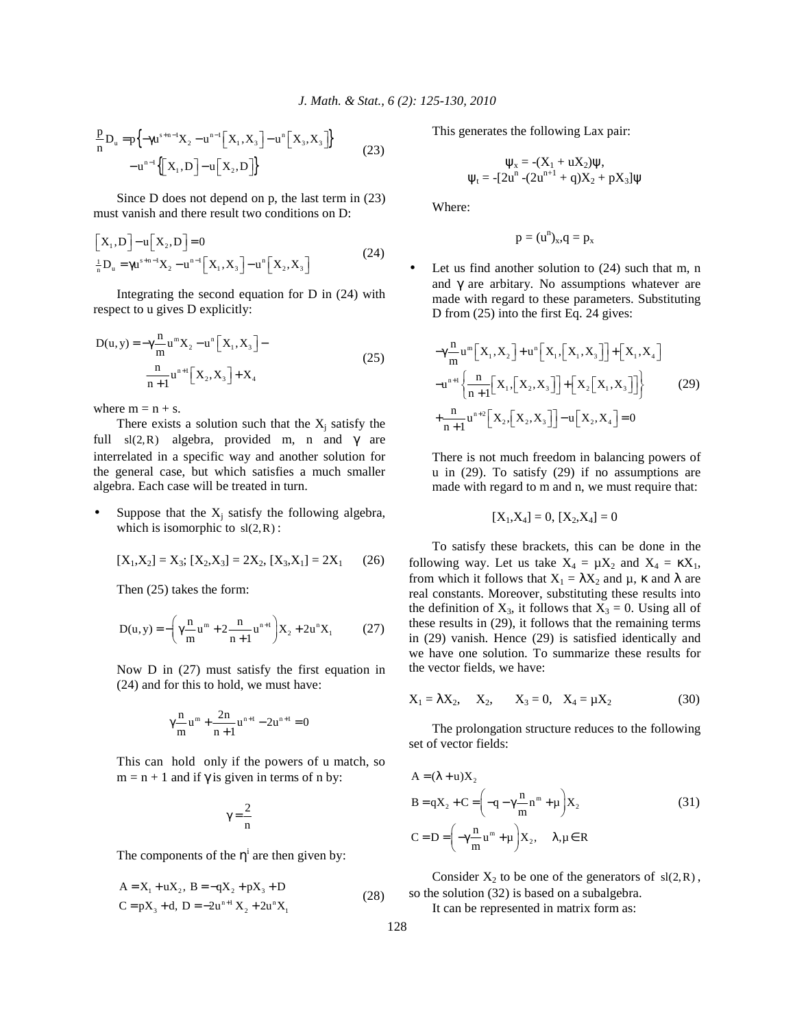$$
\frac{p}{n}D_u = p\left\{-\gamma u^{s+n-1}X_2 - u^{n-1}\left[X_1, X_3\right] - u^n\left[X_3, X_3\right]\right\}
$$
\n
$$
-u^{n-1}\left\{\left[X_1, D\right] - u\left[X_2, D\right]\right\}
$$
\n(23)

 Since D does not depend on p, the last term in (23) must vanish and there result two conditions on D:

$$
\[X_{1}, D\] - u[X_{2}, D\] = 0
$$
\n
$$
\frac{1}{n}D_{u} = \gamma u^{s+n-1}X_{2} - u^{n-1}[X_{1}, X_{3}] - u^{n}[X_{2}, X_{3}]
$$
\n(24)

 Integrating the second equation for D in (24) with respect to u gives D explicitly:

$$
D(u, y) = -\gamma \frac{n}{m} u^{m} X_{2} - u^{n} [X_{1}, X_{3}] -
$$
  

$$
\frac{n}{n+1} u^{n+1} [X_{2}, X_{3}] + X_{4}
$$
 (25)

where  $m = n + s$ .

There exists a solution such that the  $X_j$  satisfy the full  $sl(2, R)$  algebra, provided m, n and  $\gamma$  are interrelated in a specific way and another solution for the general case, but which satisfies a much smaller algebra. Each case will be treated in turn.

• Suppose that the  $X_j$  satisfy the following algebra, which is isomorphic to  $sl(2, R)$ :

$$
[X_1, X_2] = X_3; [X_2, X_3] = 2X_2, [X_3, X_1] = 2X_1 \qquad (26)
$$

Then (25) takes the form:

$$
D(u, y) = -\left(\gamma \frac{n}{m} u^m + 2 \frac{n}{n+1} u^{n+1}\right) X_2 + 2 u^n X_1 \tag{27}
$$

 Now D in (27) must satisfy the first equation in (24) and for this to hold, we must have:

$$
\gamma \frac{n}{m} u^m + \frac{2n}{n+1} u^{n+1} - 2u^{n+1} = 0
$$

 This can hold only if the powers of u match, so  $m = n + 1$  and if  $\gamma$  is given in terms of n by:

$$
\gamma\,{=}\,\frac{2}{n}
$$

The components of the  $\eta^i$  are then given by:

$$
A = X1 + uX2, B = -qX2 + pX3 + D
$$
  
\n
$$
C = pX3 + d, D = -2un+1X2 + 2unX1
$$
\n(28)

This generates the following Lax pair:

$$
\psi_x = -(X_1 + uX_2)\psi,
$$
  

$$
\psi_t = -[2u^n - (2u^{n+1} + q)X_2 + pX_3]\psi
$$

Where:

$$
p=(u^n)_{\boldsymbol{x}},\!q=p_{\boldsymbol{x}}
$$

Let us find another solution to  $(24)$  such that m, n and  $\gamma$  are arbitary. No assumptions whatever are made with regard to these parameters. Substituting D from (25) into the first Eq. 24 gives:

$$
-\gamma \frac{n}{m} u^{m} \Big[ X_{1}, X_{2} \Big] + u^{n} \Big[ X_{1}, \Big[ X_{1}, X_{3} \Big] \Big] + \Big[ X_{1}, X_{4} \Big]
$$
  

$$
-u^{n+1} \Big\{ \frac{n}{n+1} \Big[ X_{1}, \Big[ X_{2}, X_{3} \Big] \Big] + \Big[ X_{2} \Big[ X_{1}, X_{3} \Big] \Big] \Big\}
$$
  

$$
+ \frac{n}{n+1} u^{n+2} \Big[ X_{2}, \Big[ X_{2}, X_{3} \Big] \Big] - u \Big[ X_{2}, X_{4} \Big] = 0
$$
  
(29)

 There is not much freedom in balancing powers of u in (29). To satisfy (29) if no assumptions are made with regard to m and n, we must require that:

$$
[X_1, X_4] = 0, [X_2, X_4] = 0
$$

 To satisfy these brackets, this can be done in the following way. Let us take  $X_4 = \mu X_2$  and  $X_4 = \kappa X_1$ , from which it follows that  $X_1 = \lambda X_2$  and  $\mu$ ,  $\kappa$  and  $\lambda$  are real constants. Moreover, substituting these results into the definition of  $X_3$ , it follows that  $X_3 = 0$ . Using all of these results in (29), it follows that the remaining terms in (29) vanish. Hence (29) is satisfied identically and we have one solution. To summarize these results for the vector fields, we have:

$$
X_1 = \lambda X_2
$$
,  $X_2$ ,  $X_3 = 0$ ,  $X_4 = \mu X_2$  (30)

 The prolongation structure reduces to the following set of vector fields:

$$
A = (\lambda + u)X_2
$$
  
\n
$$
B = qX_2 + C = \left(-q - \gamma \frac{n}{m}n^m + \mu\right)X_2
$$
  
\n
$$
C = D = \left(-\gamma \frac{n}{m}u^m + \mu\right)X_2, \quad \lambda, \mu \in \mathbb{R}
$$
\n(31)

Consider  $X_2$  to be one of the generators of  $sl(2,R)$ , so the solution (32) is based on a subalgebra.

It can be represented in matrix form as: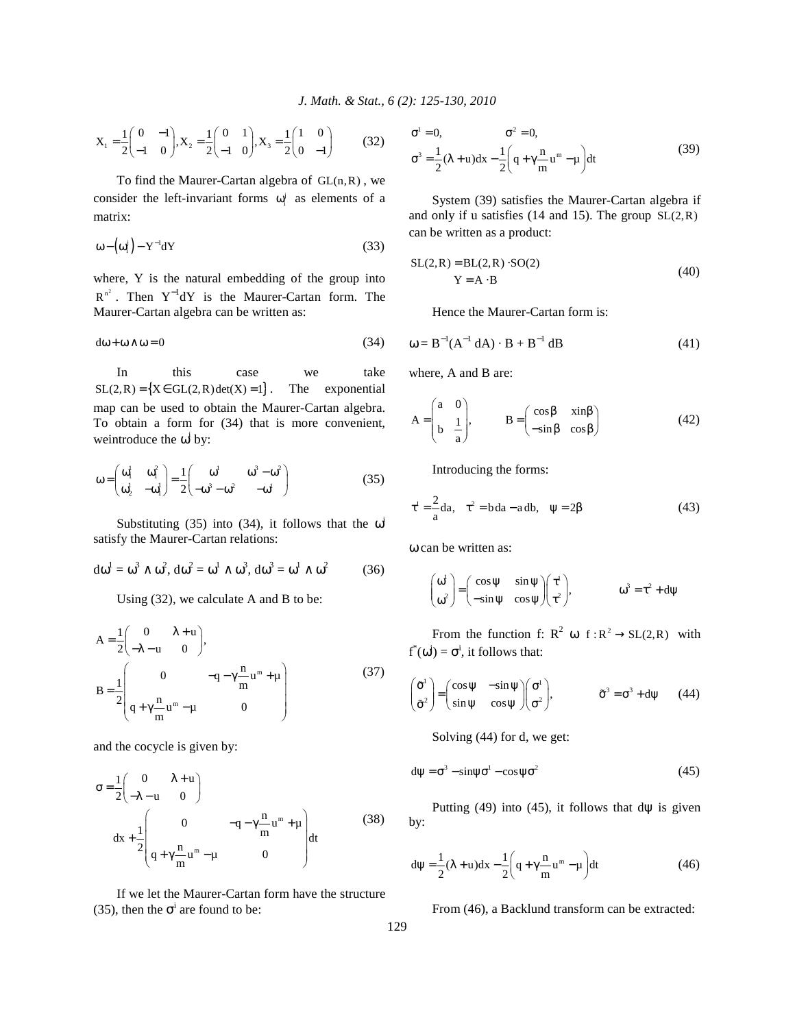$$
X_1 = \frac{1}{2} \begin{pmatrix} 0 & -1 \\ -1 & 0 \end{pmatrix}, X_2 = \frac{1}{2} \begin{pmatrix} 0 & 1 \\ -1 & 0 \end{pmatrix}, X_3 = \frac{1}{2} \begin{pmatrix} 1 & 0 \\ 0 & -1 \end{pmatrix}
$$
 (32)

To find the Maurer-Cartan algebra of  $GL(n, R)$ , we consider the left-invariant forms  $\omega_i^j$  as elements of a matrix:

$$
\omega - \left(\omega_i^j\right) - Y^{-1} dY \tag{33}
$$

where, Y is the natural embedding of the group into  $R^{n^2}$ . Then  $Y^{-1}dY$  is the Maurer-Cartan form. The Maurer-Cartan algebra can be written as:

$$
d\omega + \omega \wedge \omega = 0 \tag{34}
$$

In this case we take  $SL(2,R) = \{X \in GL(2,R) \det(X) = 1\}$ . The exponential map can be used to obtain the Maurer-Cartan algebra. To obtain a form for (34) that is more convenient, we introduce the  $\omega^i$  by:

$$
\omega = \begin{pmatrix} \omega_1^1 & \omega_1^2 \\ \omega_2^1 & -\omega_1^1 \end{pmatrix} = \frac{1}{2} \begin{pmatrix} \omega^1 & \omega^3 - \omega^2 \\ -\omega^3 - \omega^2 & -\omega^1 \end{pmatrix}
$$
(35)

Substituting (35) into (34), it follows that the  $\omega^i$ satisfy the Maurer-Cartan relations:

$$
d\omega^1 = \omega^3 \wedge \omega^2, d\omega^2 = \omega^1 \wedge \omega^3, d\omega^3 = \omega^1 \wedge \omega^2 \tag{36}
$$

Using (32), we calculate A and B to be:

$$
A = \frac{1}{2} \begin{pmatrix} 0 & \lambda + u \\ -\lambda - u & 0 \end{pmatrix},
$$
  
\n
$$
B = \frac{1}{2} \begin{pmatrix} 0 & -q - \gamma \frac{n}{m} u^m + \mu \\ q + \gamma \frac{n}{m} u^m - \mu & 0 \end{pmatrix}
$$
(37)

and the cocycle is given by:

$$
\sigma = \frac{1}{2} \begin{pmatrix} 0 & \lambda + u \\ -\lambda - u & 0 \end{pmatrix}
$$
  
dx + 
$$
\frac{1}{2} \begin{pmatrix} 0 & -q - \gamma \frac{n}{m} u^m + \mu \\ q + \gamma \frac{n}{m} u^m - \mu & 0 \end{pmatrix} dt
$$
(38)

 If we let the Maurer-Cartan form have the structure (35), then the  $\sigma^i$  are found to be:

$$
\sigma^{1} = 0, \qquad \sigma^{2} = 0,
$$
  

$$
\sigma^{3} = \frac{1}{2}(\lambda + u)dx - \frac{1}{2}\left(q + \gamma \frac{n}{m}u^{m} - \mu\right)dt
$$
 (39)

 System (39) satisfies the Maurer-Cartan algebra if and only if u satisfies  $(14 \text{ and } 15)$ . The group  $SL(2,R)$ can be written as a product:

$$
SL(2,R) = BL(2,R) \cdot SO(2)
$$
  
 
$$
Y = A \cdot B
$$
 (40)

Hence the Maurer-Cartan form is:

$$
\omega = B^{-1}(A^{-1} dA) \cdot B + B^{-1} dB \tag{41}
$$

where, A and B are:

$$
A = \begin{pmatrix} a & 0 \\ b & \frac{1}{a} \end{pmatrix}, \qquad B = \begin{pmatrix} \cos \beta & \sin \beta \\ -\sin \beta & \cos \beta \end{pmatrix}
$$
 (42)

Introducing the forms:

$$
\tau^1 = -\frac{2}{a}da, \quad \tau^2 = bda - adb, \quad \psi = 2\beta \tag{43}
$$

ω can be written as:

$$
\begin{pmatrix} \omega^1 \\ \omega^2 \end{pmatrix} = \begin{pmatrix} \cos \psi & \sin \psi \\ -\sin \psi & \cos \psi \end{pmatrix} \begin{pmatrix} \tau^1 \\ \tau^2 \end{pmatrix}, \qquad \qquad \omega^3 = \tau^2 + d\psi
$$

From the function f:  $R^2 \omega f : R^2 \rightarrow SL(2,R)$  with  $f^*(\omega^i) = \sigma^i$ , it follows that:

$$
\begin{pmatrix} \tilde{\sigma}^1 \\ \tilde{\sigma}^2 \end{pmatrix} = \begin{pmatrix} \cos \psi & -\sin \psi \\ \sin \psi & \cos \psi \end{pmatrix} \begin{pmatrix} \sigma^1 \\ \sigma^2 \end{pmatrix}, \qquad \tilde{\sigma}^3 = \sigma^3 + d\psi \qquad (44)
$$

Solving (44) for d, we get:

$$
d\psi = \sigma^3 - \sin\psi \sigma^1 - \cos\psi \sigma^2 \tag{45}
$$

Putting  $(49)$  into  $(45)$ , it follows that d $\psi$  is given by:

$$
d\psi = \frac{1}{2}(\lambda + u)dx - \frac{1}{2}\left(q + \gamma \frac{n}{m}u^m - \mu\right)dt
$$
 (46)

From (46), a Backlund transform can be extracted: